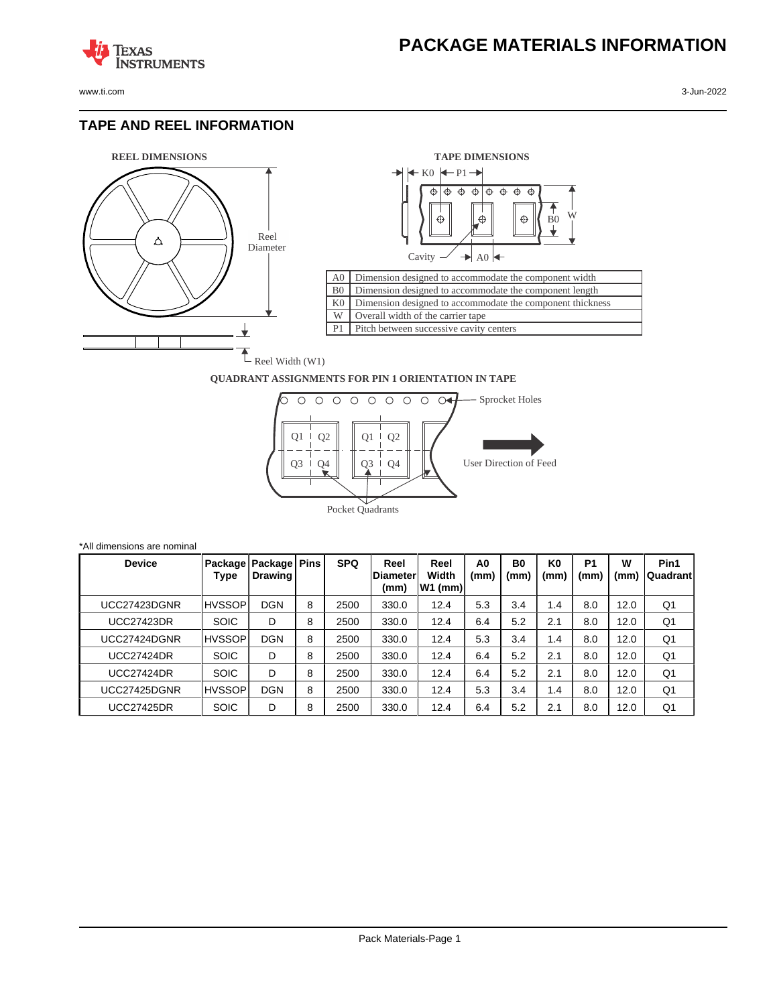www.ti.com 3-Jun-2022

**TEXAS** 

#### **TAPE AND REEL INFORMATION**

**STRUMENTS** 





#### **QUADRANT ASSIGNMENTS FOR PIN 1 ORIENTATION IN TAPE**



| *All dimensions are nominal |               |                                     |   |            |                                  |                            |                        |                        |                        |                        |           |                   |
|-----------------------------|---------------|-------------------------------------|---|------------|----------------------------------|----------------------------|------------------------|------------------------|------------------------|------------------------|-----------|-------------------|
| <b>Device</b>               | Type          | Package   Package   Pins<br>Drawing |   | <b>SPQ</b> | Reel<br><b>IDiameter</b><br>(mm) | Reel<br>Width<br>$W1$ (mm) | A <sub>0</sub><br>(mm) | B <sub>0</sub><br>(mm) | K <sub>0</sub><br>(mm) | P <sub>1</sub><br>(mm) | W<br>(mm) | Pin1<br> Quadrant |
| UCC27423DGNR                | <b>HVSSOP</b> | <b>DGN</b>                          | 8 | 2500       | 330.0                            | 12.4                       | 5.3                    | 3.4                    | 1.4                    | 8.0                    | 12.0      | Q1                |
| <b>UCC27423DR</b>           | <b>SOIC</b>   | D                                   | 8 | 2500       | 330.0                            | 12.4                       | 6.4                    | 5.2                    | 2.1                    | 8.0                    | 12.0      | Q1                |
| UCC27424DGNR                | <b>HVSSOP</b> | <b>DGN</b>                          | 8 | 2500       | 330.0                            | 12.4                       | 5.3                    | 3.4                    | 1.4                    | 8.0                    | 12.0      | Q1                |
| <b>UCC27424DR</b>           | <b>SOIC</b>   | D                                   | 8 | 2500       | 330.0                            | 12.4                       | 6.4                    | 5.2                    | 2.1                    | 8.0                    | 12.0      | Q1                |
| <b>UCC27424DR</b>           | <b>SOIC</b>   | D                                   | 8 | 2500       | 330.0                            | 12.4                       | 6.4                    | 5.2                    | 2.1                    | 8.0                    | 12.0      | Q <sub>1</sub>    |
| <b>UCC27425DGNR</b>         | <b>HVSSOP</b> | <b>DGN</b>                          | 8 | 2500       | 330.0                            | 12.4                       | 5.3                    | 3.4                    | 1.4                    | 8.0                    | 12.0      | Q1                |
| <b>UCC27425DR</b>           | <b>SOIC</b>   | D                                   | 8 | 2500       | 330.0                            | 12.4                       | 6.4                    | 5.2                    | 2.1                    | 8.0                    | 12.0      | Q1                |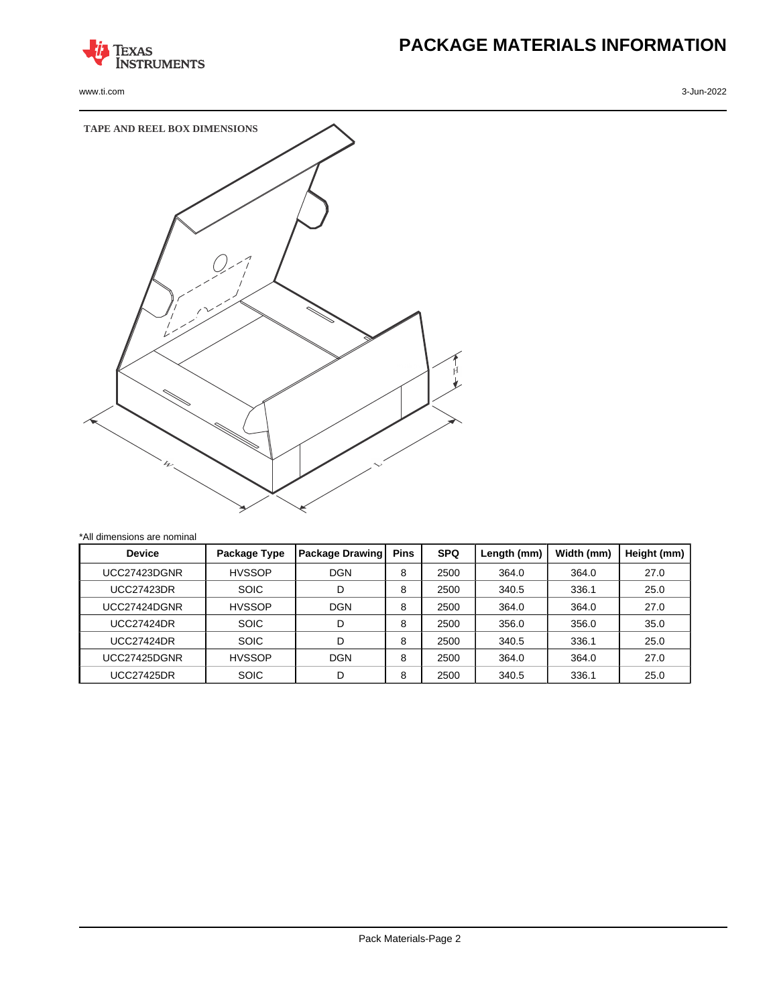

www.ti.com 3-Jun-2022

# **PACKAGE MATERIALS INFORMATION**



| <b>Device</b>     | Package Type  | <b>Package Drawing</b> | <b>Pins</b> | <b>SPQ</b> | Length (mm) | Width (mm) | Height (mm) |
|-------------------|---------------|------------------------|-------------|------------|-------------|------------|-------------|
| UCC27423DGNR      | <b>HVSSOP</b> | <b>DGN</b>             | 8           | 2500       | 364.0       | 364.0      | 27.0        |
| <b>UCC27423DR</b> | <b>SOIC</b>   | D                      | 8           | 2500       | 340.5       | 336.1      | 25.0        |
| UCC27424DGNR      | <b>HVSSOP</b> | <b>DGN</b>             | 8           | 2500       | 364.0       | 364.0      | 27.0        |
| <b>UCC27424DR</b> | <b>SOIC</b>   | D                      | 8           | 2500       | 356.0       | 356.0      | 35.0        |
| <b>UCC27424DR</b> | <b>SOIC</b>   | D                      | 8           | 2500       | 340.5       | 336.1      | 25.0        |
| UCC27425DGNR      | <b>HVSSOP</b> | <b>DGN</b>             | 8           | 2500       | 364.0       | 364.0      | 27.0        |
| UCC27425DR        | <b>SOIC</b>   | D                      | 8           | 2500       | 340.5       | 336.1      | 25.0        |